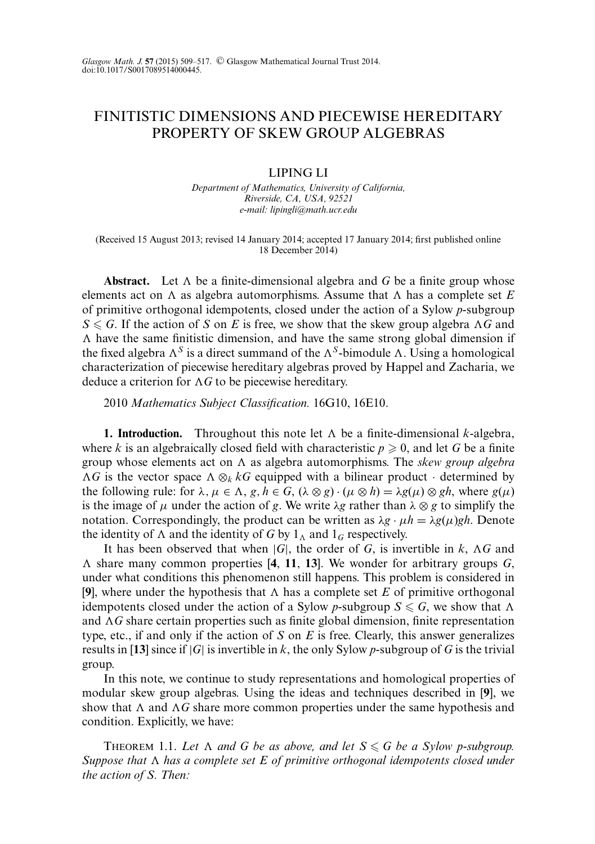# FINITISTIC DIMENSIONS AND PIECEWISE HEREDITARY PROPERTY OF SKEW GROUP ALGEBRAS

## LIPING LI

*Department of Mathematics, University of California, Riverside, CA, USA, 92521 e-mail: lipingli@math.ucr.edu*

(Received 15 August 2013; revised 14 January 2014; accepted 17 January 2014; first published online 18 December 2014)

**Abstract.** Let  $\Lambda$  be a finite-dimensional algebra and  $G$  be a finite group whose elements act on  $\Lambda$  as algebra automorphisms. Assume that  $\Lambda$  has a complete set  $E$ of primitive orthogonal idempotents, closed under the action of a Sylow *p*-subgroup  $S \le G$ . If the action of *S* on *E* is free, we show that the skew group algebra  $\Lambda G$  and  $\Lambda$  have the same finitistic dimension, and have the same strong global dimension if the fixed algebra  $\Lambda^S$  is a direct summand of the  $\Lambda^S$ -bimodule  $\Lambda$ . Using a homological characterization of piecewise hereditary algebras proved by Happel and Zacharia, we deduce a criterion for  $\Lambda G$  to be piecewise hereditary.

2010 *Mathematics Subject Classification.* 16G10, 16E10.

**1. Introduction.** Throughout this note let  $\Lambda$  be a finite-dimensional *k*-algebra, where *k* is an algebraically closed field with characteristic  $p \ge 0$ , and let *G* be a finite group whose elements act on A as algebra automorphisms. The *skew group algebra*  $\Lambda G$  is the vector space  $\Lambda \otimes_k kG$  equipped with a bilinear product · determined by the following rule: for  $\lambda, \mu \in \Lambda$ ,  $g, h \in G$ ,  $(\lambda \otimes g) \cdot (\mu \otimes h) = \lambda g(\mu) \otimes gh$ , where  $g(\mu)$ is the image of  $\mu$  under the action of *g*. We write  $\lambda$ *g* rather than  $\lambda \otimes g$  to simplify the notation. Correspondingly, the product can be written as  $\lambda g \cdot \mu h = \lambda g(\mu) gh$ . Denote the identity of  $\Lambda$  and the identity of *G* by  $1_{\Lambda}$  and  $1_G$  respectively.

It has been observed that when  $|G|$ , the order of  $G$ , is invertible in  $k$ ,  $\Lambda G$  and - share many common properties [**4**, **11**, **13**]. We wonder for arbitrary groups *G*, under what conditions this phenomenon still happens. This problem is considered in [9], where under the hypothesis that  $\Lambda$  has a complete set *E* of primitive orthogonal idempotents closed under the action of a Sylow *p*-subgroup  $S \le G$ , we show that  $\Lambda$ and AG share certain properties such as finite global dimension, finite representation type, etc., if and only if the action of *S* on *E* is free. Clearly, this answer generalizes results in [13] since if  $|G|$  is invertible in k, the only Sylow p-subgroup of G is the trivial group.

In this note, we continue to study representations and homological properties of modular skew group algebras. Using the ideas and techniques described in [**9**], we show that  $\Lambda$  and  $\Lambda G$  share more common properties under the same hypothesis and condition. Explicitly, we have:

THEOREM 1.1. Let  $\Lambda$  and G be as above, and let  $S \le G$  be a Sylow p-subgroup. Suppose that  $\Lambda$  has a complete set E of primitive orthogonal idempotents closed under *the action of S. Then:*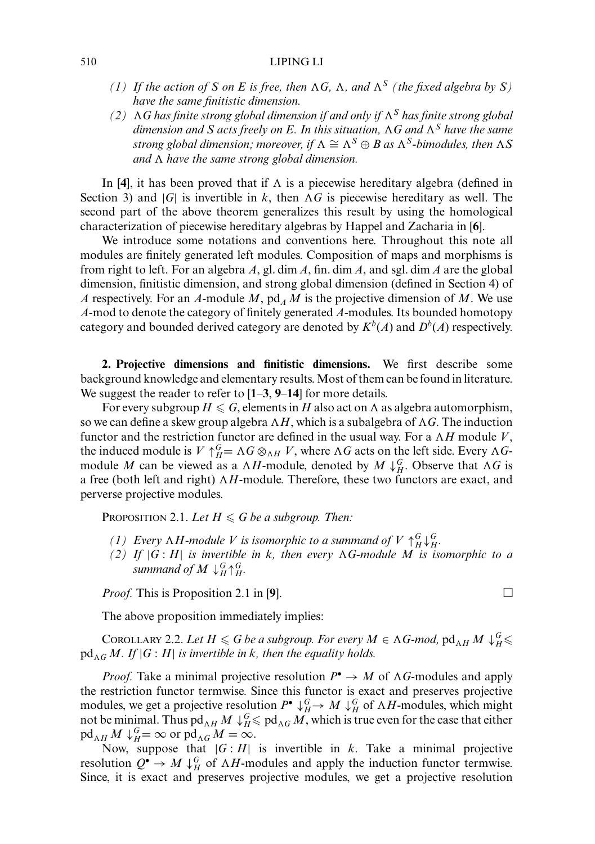#### 510 LIPING LI

- *(1)* If the action of S on E is free, then  $\Lambda G$ ,  $\Lambda$ , and  $\Lambda^S$  *(the fixed algebra by S) have the same finitistic dimension.*
- $(2)$  AG has finite strong global dimension if and only if  $\Lambda<sup>S</sup>$  has finite strong global dimension and  $S$  acts freely on  $E.$  In this situation,  $\Lambda G$  and  $\Lambda^S$  have the same *strong global dimension; moreover, if*  $\Lambda \cong \Lambda^S \oplus B$  as  $\Lambda^S$ -bimodules, then  $\Lambda S$ and  $\Lambda$  have the same strong global dimension.

In [4], it has been proved that if  $\Lambda$  is a piecewise hereditary algebra (defined in Section 3) and  $|G|$  is invertible in k, then  $\Lambda G$  is piecewise hereditary as well. The second part of the above theorem generalizes this result by using the homological characterization of piecewise hereditary algebras by Happel and Zacharia in [**6**].

We introduce some notations and conventions here. Throughout this note all modules are finitely generated left modules. Composition of maps and morphisms is from right to left. For an algebra *A*, gl. dim *A*, fin. dim *A*, and sgl. dim *A* are the global dimension, finitistic dimension, and strong global dimension (defined in Section 4) of *A* respectively. For an *A*-module *M*,  $pd_A M$  is the projective dimension of *M*. We use *A*-mod to denote the category of finitely generated *A*-modules. Its bounded homotopy category and bounded derived category are denoted by  $K^b(A)$  and  $D^b(A)$  respectively.

**2. Projective dimensions and finitistic dimensions.** We first describe some background knowledge and elementary results. Most of them can be found in literature. We suggest the reader to refer to [**1**–**3**, **9**–**14**] for more details.

For every subgroup  $H \leqslant G,$  elements in  $H$  also act on  $\Lambda$  as algebra automorphism, so we can define a skew group algebra  $\Lambda H,$  which is a subalgebra of  $\Lambda G.$  The induction functor and the restriction functor are defined in the usual way. For a  $\Lambda H$  module V, the induced module is  $V \uparrow_H^G = \Lambda G \otimes_{\Lambda H} V$ , where  $\Lambda G$  acts on the left side. Every  $\Lambda G$ module *M* can be viewed as a  $\Lambda H$ -module, denoted by  $M \downarrow_H^G$ . Observe that  $\Lambda G$  is a free (both left and right)  $\Lambda H$ -module. Therefore, these two functors are exact, and perverse projective modules.

Proposition 2.1. Let  $H \leq G$  be a subgroup. Then:

- *(1)* Every  $\Lambda H$ -module V is isomorphic to a summand of  $V \uparrow^G_H \downarrow^G_H$ .
- $(2)$  If  $|G:H|$  *is invertible in k, then every*  $\Lambda G$ -module M *is isomorphic to a* summand of  $M\downarrow^G_H$   $\uparrow^G_H$ .

*Proof.* This is Proposition 2.1 in [9].  $\Box$ 

The above proposition immediately implies:

COROLLARY 2.2. Let  $H \le G$  be a subgroup. For every  $M \in \Lambda G$ -mod,  $\operatorname{pd}_{\Lambda H} M \downarrow_H^G \le$  $pd_{\Lambda G} M$ . If  $|G:H|$  is invertible in k, then the equality holds.

*Proof.* Take a minimal projective resolution  $P^{\bullet} \to M$  of  $\Lambda G$ -modules and apply the restriction functor termwise. Since this functor is exact and preserves projective modules, we get a projective resolution  $P^{\bullet} \downarrow_H^G \to M \downarrow_H^G$  of  $\Lambda H$ -modules, which might not be minimal. Thus  $pd_{AH} M \downarrow_H^G \leqslant pd_{AG} M$ , which is true even for the case that either  $\operatorname{pd}_{\Lambda H} M \downarrow_H^G = \infty$  or  $\operatorname{pd}_{\Lambda G} M = \infty$ .

Now, suppose that  $|G : H|$  is invertible in *k*. Take a minimal projective resolution  $Q^{\bullet} \to M \downarrow_H^G$  of  $\Lambda H$ -modules and apply the induction functor termwise. Since, it is exact and preserves projective modules, we get a projective resolution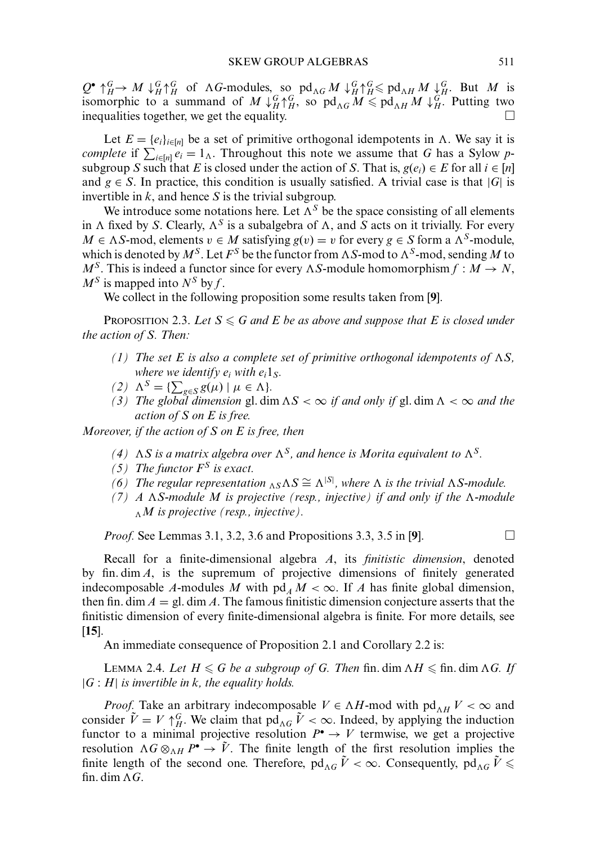$Q^{\bullet} \uparrow_H^G \rightarrow M \downarrow_H^G \uparrow_H^G$  of  $\Lambda G$ -modules, so pd<sub> $\Lambda G$ </sub>  $M \downarrow_H^G \uparrow_H^G \leq \text{pd}_{\Lambda H} M \downarrow_H^G$ . But *M* is isomorphic to a summand of  $M \downarrow_H^G \uparrow_H^G$ , so  $\text{pd}_{\Lambda G} M \leq \text{pd}_{\Lambda H} M \downarrow_H^G$ . Putting two inequalities together, we get the equality.

Let  $E = \{e_i\}_{i \in [n]}$  be a set of primitive orthogonal idempotents in  $\Lambda$ . We say it is *complete* if  $\sum_{i \in [n]} e_i = 1_A$ . Throughout this note we assume that *G* has a Sylow *p*subgroup *S* such that *E* is closed under the action of *S*. That is,  $g(e_i) \in E$  for all  $i \in [n]$ and  $g \in S$ . In practice, this condition is usually satisfied. A trivial case is that  $|G|$  is invertible in *k*, and hence *S* is the trivial subgroup.

We introduce some notations here. Let  $\Lambda^S$  be the space consisting of all elements in  $\Lambda$  fixed by *S*. Clearly,  $\Lambda^S$  is a subalgebra of  $\Lambda$ , and *S* acts on it trivially. For every *M* ∈  $\Lambda S$ -mod, elements  $v \in M$  satisfying  $g(v) = v$  for every  $g \in S$  form a  $\Lambda^S$ -module, which is denoted by  $M^S$ . Let  $F^S$  be the functor from  $\Lambda S$ -mod to  $\Lambda^S$ -mod, sending  $M$  to  $M^S$ . This is indeed a functor since for every  $\Lambda S$ -module homomorphism  $f : M \to N$ ,  $M^S$  is mapped into  $N^S$  by *f*.

We collect in the following proposition some results taken from [**9**].

PROPOSITION 2.3. Let  $S \le G$  and E be as above and suppose that E is closed under *the action of S. Then:*

- *(1)* The set E is also a complete set of primitive orthogonal idempotents of  $\Lambda S$ , *where we identify*  $e_i$  *with*  $e_i$ *l<sub><i>S*</sub></sub>.
- $(2)$   $\Lambda^S = \{ \sum_{g \in S} g(\mu) \mid \mu \in \Lambda \}.$
- *(3)* The global dimension gl. dim  $\Delta S < \infty$  if and only if gl. dim  $\Delta < \infty$  and the *action of S on E is free.*

*Moreover, if the action of S on E is free, then*

- (4) AS is a matrix algebra over  $\Lambda$ <sup>S</sup>, and hence is Morita equivalent to  $\Lambda$ <sup>S</sup>.
- *(5) The functor F<sup>S</sup> is exact.*
- *(6)* The regular representation  $\Delta S \cong \Delta^{|S|}$ , where  $\Delta$  is the trivial  $\Delta S$ -module.
- $(7)$  A  $\Lambda$ *S-module* M is projective (resp., injective) if and only if the  $\Lambda$ -module -*M is projective (resp., injective).*

*Proof.* See Lemmas 3.1, 3.2, 3.6 and Propositions 3.3, 3.5 in [9]. □

Recall for a finite-dimensional algebra *A*, its *finitistic dimension*, denoted by fin. dim *A*, is the supremum of projective dimensions of finitely generated indecomposable *A*-modules *M* with  $pd<sub>A</sub>M < \infty$ . If *A* has finite global dimension, then fin. dim  $A = \text{gl. dim } A$ . The famous finitistic dimension conjecture asserts that the finitistic dimension of every finite-dimensional algebra is finite. For more details, see [**15**].

An immediate consequence of Proposition 2.1 and Corollary 2.2 is:

LEMMA 2.4. Let  $H \leqslant G$  be a subgroup of G. Then  $\text{fin.} \dim \Lambda H \leqslant \text{fin.} \dim \Lambda G$ . If  $|G : H|$  *is invertible in k, the equality holds.* 

*Proof.* Take an arbitrary indecomposable  $V \in \Lambda H$ -mod with  $pd_{\Lambda H} V < \infty$  and consider  $\tilde{V} = V \uparrow_H^G$ . We claim that pd<sub>AG</sub>  $\tilde{V} < \infty$ . Indeed, by applying the induction functor to a minimal projective resolution  $P^{\bullet} \to V$  termwise, we get a projective resolution  $\Lambda G \otimes_{\Lambda H} P^{\bullet} \to V$ . The finite length of the first resolution implies the finite length of the second one. Therefore,  $pd_{\Lambda G}$   $\tilde{V} < \infty$ . Consequently,  $pd_{\Lambda G}$   $\tilde{V} \leqslant$ fin. dim  $\Lambda G$ .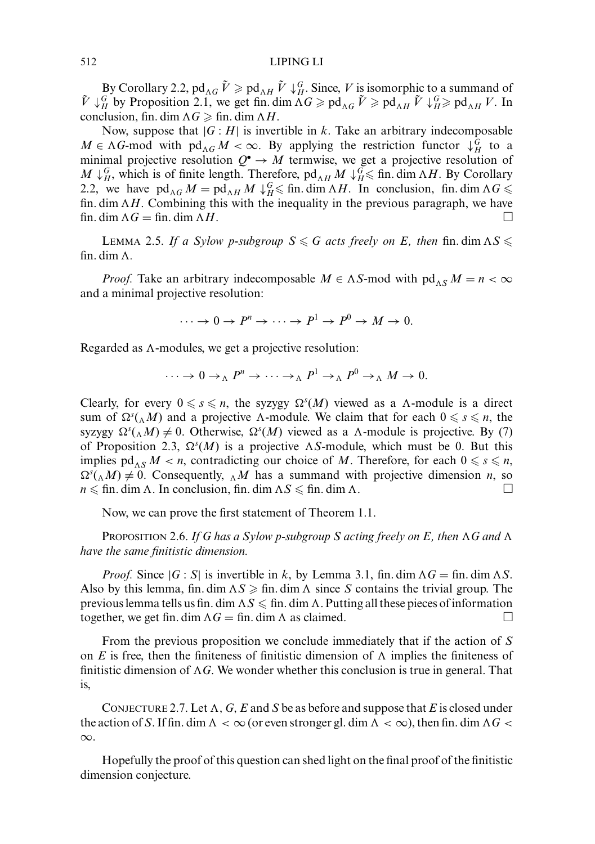### 512 LIPING LI

By Corollary 2.2,  $pd_{\Lambda G} \tilde{V} \geqslant pd_{\Lambda H} \tilde{V} \downarrow_H^G$ . Since, *V* is isomorphic to a summand of  $\tilde{V} \downarrow_H^G$  by Proposition 2.1, we get fin. dim  $\tilde{\Lambda}G \geq \text{pd}_{\tilde{\Lambda}G} \tilde{V} \geq \text{pd}_{\tilde{\Lambda}H} \tilde{V} \downarrow_H^G \geq \text{pd}_{\tilde{\Lambda}H} V$ . In conclusion, fin. dim  $\Lambda G \geqslant \text{fin. dim }\Lambda H$ .

Now, suppose that  $|G : H|$  is invertible in *k*. Take an arbitrary indecomposable  $M \in \Lambda$ G-mod with  $\text{pd}_{\Lambda} G M < \infty$ . By applying the restriction functor  $\downarrow^G_H$  to a minimal projective resolution  $Q^{\bullet} \to M$  termwise, we get a projective resolution of *M* ↓*G*, which is of finite length. Therefore, pd<sub>*AH</sub> M* ↓*G* in. dim *AH*. By Corollary</sub> 2.2, we have  $pd_{\Lambda G} M = pd_{\Lambda H} M \downarrow_H^G \leq \text{fin. dim }\Lambda H$ . In conclusion, fin. dim  $\Lambda G \leq$ fin.  $\dim \Lambda H$ . Combining this with the inequality in the previous paragraph, we have fin. dim  $\Lambda G = \text{fin.} \dim \Lambda$ *H*. □

LEMMA 2.5. If a Sylow p-subgroup  $S \le G$  acts freely on E, then fin. dim  $\Lambda S \le$ fin. dim  $\Lambda$ .

*Proof.* Take an arbitrary indecomposable  $M \in \Lambda S$ -mod with  $\text{pd}_{\Lambda S} M = n < \infty$ and a minimal projective resolution:

 $\cdots \rightarrow 0 \rightarrow P^n \rightarrow \cdots \rightarrow P^1 \rightarrow P^0 \rightarrow M \rightarrow 0.$ 

Regarded as A-modules, we get a projective resolution:

$$
\cdots \to 0 \to_{\Lambda} P^n \to \cdots \to_{\Lambda} P^1 \to_{\Lambda} P^0 \to_{\Lambda} M \to 0.
$$

Clearly, for every  $0 \le s \le n$ , the syzygy  $\Omega<sup>s</sup>(M)$  viewed as a  $\Lambda$ -module is a direct sum of  $\Omega^{s}(\Lambda M)$  and a projective  $\Lambda$ -module. We claim that for each  $0 \le s \le n$ , the syzygy  $\Omega^s(\Lambda M) \neq 0$ . Otherwise,  $\Omega^s(M)$  viewed as a  $\Lambda$ -module is projective. By (7) of Proposition 2.3,  $\Omega^{s}(M)$  is a projective  $\Lambda S$ -module, which must be 0. But this implies  $\mathrm{pd}_{\Lambda S} M < n$ , contradicting our choice of M. Therefore, for each  $0 \le s \le n$ ,  $\Omega^s(\Lambda M) \neq 0$ . Consequently,  $\Lambda M$  has a summand with projective dimension *n*, so  $n \leqslant \text{fin. dim }\Lambda$ . In conclusion, fin. dim  $\Lambda S \leqslant \text{fin. dim }\Lambda$ .

Now, we can prove the first statement of Theorem 1.1.

Proposition 2.6. *If G has a Sylow p-subgroup S acting freely on E, then*  $\Lambda$ *G and*  $\Lambda$ *have the same finitistic dimension.*

*Proof.* Since  $|G : S|$  is invertible in *k*, by Lemma 3.1, fin. dim  $\Lambda G = \text{fin. dim }\Lambda S$ . Also by this lemma, fin. dim  $\Lambda S \geqslant$  fin. dim  $\Lambda$  since *S* contains the trivial group. The previous lemma tells us fin. dim  $\Lambda S\leqslant$  fin. dim  $\Lambda$  . Putting all these pieces of information together, we get fin. dim  $\Lambda G = \text{fin.}$  dim  $\Lambda$  as claimed.

From the previous proposition we conclude immediately that if the action of *S* on  $E$  is free, then the finiteness of finitistic dimension of  $\Lambda$  implies the finiteness of finitistic dimension of  $\Lambda G$ . We wonder whether this conclusion is true in general. That is,

CONJECTURE 2.7. Let  $\Lambda$ ,  $G$ ,  $E$  and  $S$  be as before and suppose that  $E$  is closed under the action of S. If fin. dim  $\Lambda < \infty$  (or even stronger gl. dim  $\Lambda < \infty$ ), then fin. dim  $\Lambda G <$ ∞.

Hopefully the proof of this question can shed light on the final proof of the finitistic dimension conjecture.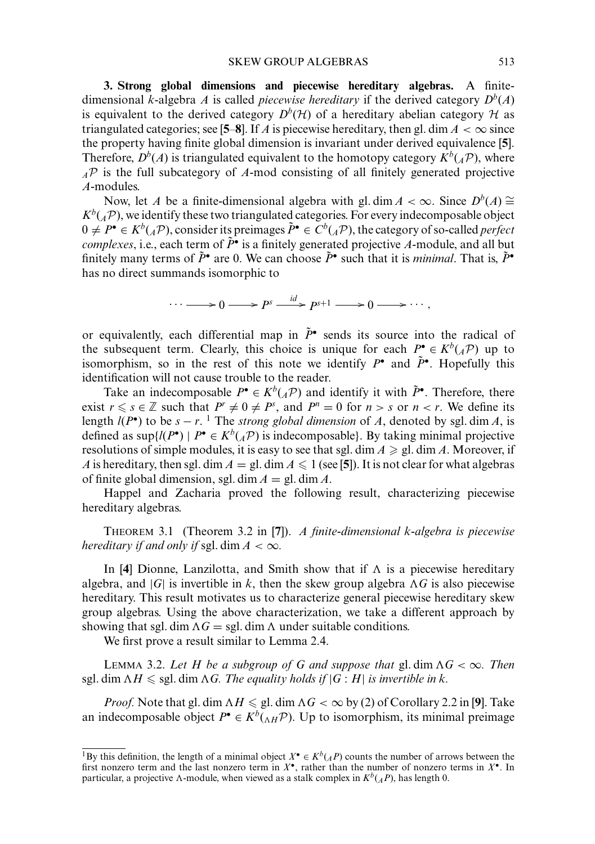**3. Strong global dimensions and piecewise hereditary algebras.** A finitedimensional *k*-algebra *A* is called *piecewise hereditary* if the derived category  $D^b(A)$ is equivalent to the derived category  $D^b(\mathcal{H})$  of a hereditary abelian category  $\mathcal H$  as triangulated categories; see [5–8]. If *A* is piecewise hereditary, then gl. dim  $A < \infty$  since the property having finite global dimension is invariant under derived equivalence [**5**]. Therefore,  $D^b(A)$  is triangulated equivalent to the homotopy category  $K^b(A)$ , where *<sup>A</sup>*P is the full subcategory of *A*-mod consisting of all finitely generated projective *A*-modules.

Now, let *A* be a finite-dimensional algebra with gl. dim  $A < \infty$ . Since  $D^b(A) \cong$  $K^b({}_A\mathcal{P})$ , we identify these two triangulated categories. For every indecomposable object  $0 \neq P^{\bullet} \in K^{b}({}_{\mathcal{A}}\mathcal{P})$ , consider its preimages  $\tilde{P}^{\bullet} \in C^{b}({}_{\mathcal{A}}\mathcal{P})$ , the category of so-called *perfect complexes*, i.e., each term of  $\tilde{P}$ <sup>*\**</sup> is a finitely generated projective *A*-module, and all but finitely many terms of  $\tilde{P}^{\bullet}$  are 0. We can choose  $\tilde{P}^{\bullet}$  such that it is *minimal*. That is,  $\tilde{P}^{\bullet}$ has no direct summands isomorphic to

$$
\cdots \longrightarrow 0 \longrightarrow P^s \xrightarrow{id} P^{s+1} \longrightarrow 0 \longrightarrow \cdots,
$$

or equivalently, each differential map in  $\tilde{P}^{\bullet}$  sends its source into the radical of the subsequent term. Clearly, this choice is unique for each  $P^{\bullet} \in K^b({}_A\mathcal{P})$  up to isomorphism, so in the rest of this note we identify  $P^{\bullet}$  and  $\tilde{P}^{\bullet}$ . Hopefully this identification will not cause trouble to the reader.

Take an indecomposable  $P^{\bullet} \in K^b({}_A\mathcal{P})$  and identify it with  $\tilde{P}^{\bullet}$ . Therefore, there exist  $r \le s \in \mathbb{Z}$  such that  $P^r \neq 0 \neq P^s$ , and  $P^n = 0$  for  $n > s$  or  $n < r$ . We define its length  $l(P^{\bullet})$  to be  $s - r$ . <sup>1</sup> The *strong global dimension* of *A*, denoted by sgl. dim *A*, is defined as  $\sup\{l(P^{\bullet}) \mid P^{\bullet} \in K^b(\mathcal{A}^{\mathcal{P}})\}\$ is indecomposable}. By taking minimal projective resolutions of simple modules, it is easy to see that sgl. dim  $A \ge$  gl. dim A. Moreover, if *A* is hereditary, then sgl. dim  $A = \text{gl. dim } A \leq 1$  (see [5]). It is not clear for what algebras of finite global dimension, sgl. dim  $A = \text{gl. dim } A$ .

Happel and Zacharia proved the following result, characterizing piecewise hereditary algebras.

THEOREM 3.1 (Theorem 3.2 in [**7**]). *A finite-dimensional k-algebra is piecewise hereditary if and only if* sgl. dim  $A < \infty$ .

In [4] Dionne, Lanzilotta, and Smith show that if  $\Lambda$  is a piecewise hereditary algebra, and  $|G|$  is invertible in k, then the skew group algebra  $\Lambda G$  is also piecewise hereditary. This result motivates us to characterize general piecewise hereditary skew group algebras. Using the above characterization, we take a different approach by showing that sgl. dim  $\Lambda G =$  sgl. dim  $\Lambda$  under suitable conditions.

We first prove a result similar to Lemma 2.4.

LEMMA 3.2. Let H be a subgroup of G and suppose that  $gl$ . dim  $\Lambda G < \infty$ . Then sgl. dim  $\Lambda H \leqslant$  sgl. dim  $\Lambda G$ . The equality holds if  $|G:H|$  is invertible in k.

*Proof.* Note that gl. dim  $\Lambda H \leqslant$  gl. dim  $\Lambda G < \infty$  by (2) of Corollary 2.2 in [**9**]. Take an indecomposable object  $P^{\bullet} \in K^b({_{\Lambda}H}\mathcal{P})$ . Up to isomorphism, its minimal preimage

<sup>&</sup>lt;sup>1</sup>By this definition, the length of a minimal object  $X^{\bullet} \in K^{b}(A^{p})$  counts the number of arrows between the first nonzero term and the last nonzero term in *X*•, rather than the number of nonzero terms in *X*•. In particular, a projective  $\Lambda$ -module, when viewed as a stalk complex in  $K^b({}_AP)$ , has length 0.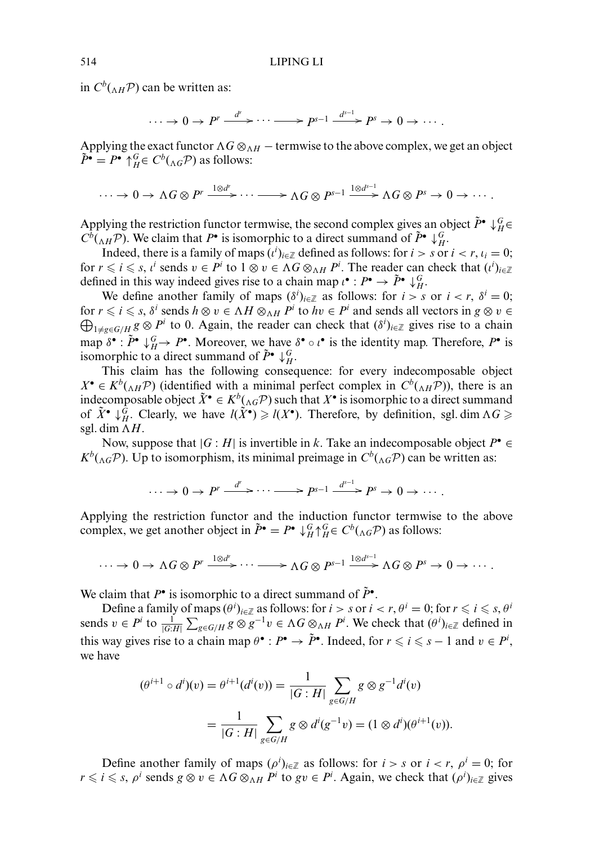in  $C^b({}_{\Lambda H}P)$  can be written as:

$$
\cdots \to 0 \to P^r \xrightarrow{d^r} \cdots \longrightarrow P^{s-1} \xrightarrow{d^{s-1}} P^s \to 0 \to \cdots.
$$

Applying the exact functor  $\Lambda G \otimes_{\Lambda H}$  – termwise to the above complex, we get an object  $\tilde{P}$ <sup>•</sup> =  $P$ <sup>•</sup>  $\uparrow$ <sup>*G*</sup><sub>*H*</sub>∈  $C^b$ ( $_{\Lambda G}$  $\mathcal{P}$ ) as follows:

$$
\cdots \to 0 \to \Lambda G \otimes P^r \xrightarrow{1 \otimes d^r} \cdots \longrightarrow \Lambda G \otimes P^{s-1} \xrightarrow{1 \otimes d^{s-1}} \Lambda G \otimes P^s \to 0 \to \cdots.
$$

Applying the restriction functor termwise, the second complex gives an object  $\tilde{P}^{\bullet} \downarrow_H^G \in$  $C^b({}_{\Lambda H}P)$ . We claim that  $P^{\bullet}$  is isomorphic to a direct summand of  $\tilde{P}^{\bullet} \downarrow_H^G$ .

Indeed, there is a family of maps  $(i^i)_{i \in \mathbb{Z}}$  defined as follows: for  $i > s$  or  $i < r$ ,  $i_i = 0$ ; for  $r \le i \le s$ ,  $i^i$  sends  $v \in P^i$  to  $1 \otimes v \in \Lambda G \otimes_{\Lambda H} P^i$ . The reader can check that  $(i^i)_{i \in \mathbb{Z}}$ defined in this way indeed gives rise to a chain map  $\iota^{\bullet}: P^{\bullet} \to \tilde{P}^{\bullet} \downarrow_H^G$ .

We define another family of maps  $(\delta^i)_{i \in \mathbb{Z}}$  as follows: for  $i > s$  or  $i < r$ ,  $\delta^i = 0$ ; for  $r \le i \le s$ ,  $\delta^i$  sends  $h \otimes v \in \Lambda H \otimes_{\Lambda H} P^i$  to  $hv \in P^i$  and sends all vectors in  $g \otimes v \in$  $\bigoplus_{1\neq g\in G/H} g\otimes P^i$  to 0. Again, the reader can check that  $(\delta^i)_{i\in\mathbb{Z}}$  gives rise to a chain map  $\delta^{\bullet}$ :  $\tilde{P}^{\bullet} \downarrow_H^G \to P^{\bullet}$ . Moreover, we have  $\delta^{\bullet} \circ \iota^{\bullet}$  is the identity map. Therefore,  $P^{\bullet}$  is isomorphic to a direct summand of  $\tilde{P}^{\bullet} \downarrow_H^G$ .

This claim has the following consequence: for every indecomposable object  $X^{\bullet} \in K^{b}({}_{\Lambda H} \mathcal{P})$  (identified with a minimal perfect complex in  $C^{b}({}_{\Lambda H} \mathcal{P})$ ), there is an indecomposable object  $\tilde{X}$  •  $\in K^b({}_{\Lambda G}P)$  such that  $X$ <sup>•</sup> is isomorphic to a direct summand of  $\tilde{X}^{\bullet} \downarrow_H^G$ . Clearly, we have  $l(\tilde{X}^{\bullet}) \ge l(X^{\bullet})$ . Therefore, by definition, sgl. dim  $\Lambda G \ge$ sgl. dim  $\Lambda H$ .

Now, suppose that  $|G : H|$  is invertible in *k*. Take an indecomposable object  $P^{\bullet} \in$  $K^b$ ( $_{\Lambda G}$ P). Up to isomorphism, its minimal preimage in  $C^b$ ( $_{\Lambda G}$ P) can be written as:

$$
\cdots \to 0 \to P^r \xrightarrow{d^r} \cdots \longrightarrow P^{s-1} \xrightarrow{d^{s-1}} P^s \to 0 \to \cdots.
$$

Applying the restriction functor and the induction functor termwise to the above complex, we get another object in  $\tilde{P}^{\bullet} = P^{\bullet} \downarrow_H^G \uparrow_H^G \in C^b({}_{\Lambda G} \mathcal{P})$  as follows:

$$
\cdots \to 0 \to \Lambda G \otimes P^r \xrightarrow{1 \otimes d^r} \cdots \longrightarrow \Lambda G \otimes P^{s-1} \xrightarrow{1 \otimes d^{s-1}} \Lambda G \otimes P^s \to 0 \to \cdots.
$$

We claim that  $P^{\bullet}$  is isomorphic to a direct summand of  $\tilde{P}^{\bullet}$ .

Define a family of maps  $(\theta^i)_{i \in \mathbb{Z}}$  as follows: for  $i > s$  or  $i < r$ ,  $\theta^i = 0$ ; for  $r \leqslant i \leqslant s$ ,  $\theta^i$ sends  $v \in P^i$  to  $\frac{1}{|G:H|} \sum_{g \in G/H} g \otimes g^{-1}v \in \Lambda G \otimes_{\Lambda H} P^i$ . We check that  $(\theta^i)_{i \in \mathbb{Z}}$  defined in this way gives rise to a chain map  $\theta^{\bullet}: P^{\bullet} \to \tilde{P}^{\bullet}$ . Indeed, for  $r \leq i \leq s - 1$  and  $v \in P^i$ , we have

$$
(\theta^{i+1} \circ d^i)(v) = \theta^{i+1}(d^i(v)) = \frac{1}{|G:H|} \sum_{g \in G/H} g \otimes g^{-1}d^i(v)
$$

$$
= \frac{1}{|G:H|} \sum_{g \in G/H} g \otimes d^i(g^{-1}v) = (1 \otimes d^i)(\theta^{i+1}(v)).
$$

Define another family of maps  $(\rho^i)_{i \in \mathbb{Z}}$  as follows: for  $i > s$  or  $i < r$ ,  $\rho^i = 0$ ; for  $r \le i \le s$ ,  $\rho^i$  sends  $g \otimes v \in \Lambda G \otimes_{\Lambda H} P^i$  to  $gv \in P^i$ . Again, we check that  $(\rho^i)_{i \in \mathbb{Z}}$  gives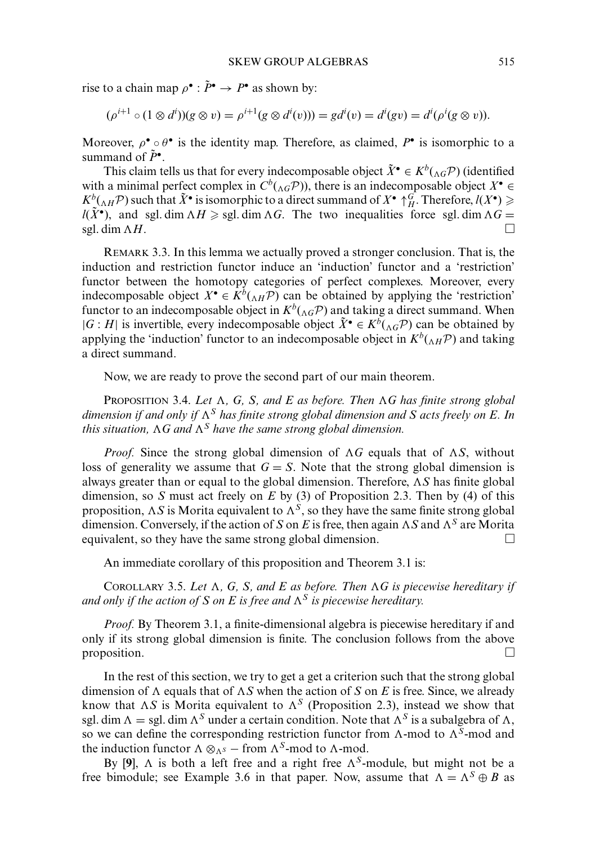rise to a chain map  $\rho^{\bullet} : \tilde{P}^{\bullet} \to P^{\bullet}$  as shown by:

$$
(\rho^{i+1} \circ (1 \otimes d^{i})) (g \otimes v) = \rho^{i+1} (g \otimes d^{i}(v))) = g d^{i}(v) = d^{i}(gv) = d^{i}(\rho^{i}(g \otimes v)).
$$

Moreover,  $\rho^{\bullet} \circ \theta^{\bullet}$  is the identity map. Therefore, as claimed,  $P^{\bullet}$  is isomorphic to a summand of  $\tilde{P}^{\bullet}$ .

This claim tells us that for every indecomposable object  $\tilde{X}^{\bullet} \in K^b({}_{\Lambda G} \mathcal{P})$  (identified with a minimal perfect complex in  $C^b({}_{\Lambda G}P)$ ), there is an indecomposable object  $X^{\bullet}$  $K^b({}_{\Lambda H}P)$  such that  $\tilde{X}^{\bullet}$  is isomorphic to a direct summand of  $X^{\bullet}$   $\uparrow_H^G$ . Therefore,  $l(X^{\bullet}) \geq$  $l(\tilde{X}^{\bullet})$ , and sgl. dim  $\Lambda H \geq$  sgl. dim  $\Lambda G$ . The two inequalities force sgl. dim  $\Lambda G =$ sgl. dim  $\Lambda H$ . *H*. □

REMARK 3.3. In this lemma we actually proved a stronger conclusion. That is, the induction and restriction functor induce an 'induction' functor and a 'restriction' functor between the homotopy categories of perfect complexes. Moreover, every indecomposable object  $X^{\bullet} \in K^b({}_{\Lambda H} \mathcal{P})$  can be obtained by applying the 'restriction' functor to an indecomposable object in  $K^b({}_{\Lambda G}P)$  and taking a direct summand. When  $|G : H|$  is invertible, every indecomposable object  $\tilde{X}$ <sup>*∙*</sup> ∈  $K^b$ ( $\Lambda$ *G*<sup>*P*</sup>) can be obtained by applying the 'induction' functor to an indecomposable object in  $K^b({}_{\Lambda H}P)$  and taking a direct summand.

Now, we are ready to prove the second part of our main theorem.

PROPOSITION 3.4. *Let*  $\Lambda$ , *G*, *S*, and *E* as before. Then  $\Lambda$ *G* has finite strong global dimension if and only if  $\Lambda^S$  has finite strong global dimension and  $S$  acts freely on  $E.$  In this situation,  $\Lambda G$  and  $\Lambda^S$  have the same strong global dimension.

*Proof.* Since the strong global dimension of  $\Lambda G$  equals that of  $\Lambda S$ , without loss of generality we assume that  $G = S$ . Note that the strong global dimension is always greater than or equal to the global dimension. Therefore, AS has finite global dimension, so *S* must act freely on *E* by (3) of Proposition 2.3. Then by (4) of this proposition,  $\Lambda S$  is Morita equivalent to  $\Lambda^S$ , so they have the same finite strong global dimension. Conversely, if the action of *S* on *E* is free, then again  $\Lambda S$  and  $\Lambda^S$  are Morita equivalent, so they have the same strong global dimension.  $\Box$ 

An immediate corollary of this proposition and Theorem 3.1 is:

COROLLARY 3.5. Let  $\Lambda$ , G, S, and E as before. Then  $\Lambda$ G is piecewise hereditary if and only if the action of S on E is free and  $\Lambda^S$  is piecewise hereditary.

*Proof.* By Theorem 3.1, a finite-dimensional algebra is piecewise hereditary if and only if its strong global dimension is finite. The conclusion follows from the above proposition.

In the rest of this section, we try to get a get a criterion such that the strong global dimension of  $\Lambda$  equals that of  $\Lambda S$  when the action of S on E is free. Since, we already know that  $\Lambda S$  is Morita equivalent to  $\Lambda^S$  (Proposition 2.3), instead we show that sgl. dim  $\Lambda =$  sgl. dim  $\Lambda^S$  under a certain condition. Note that  $\Lambda^S$  is a subalgebra of  $\Lambda$ , so we can define the corresponding restriction functor from  $\Lambda$ -mod to  $\Lambda$ <sup>S</sup>-mod and the induction functor  $\Lambda \otimes_{\Lambda^S} -$  from  $\Lambda^S$ -mod to  $\Lambda$ -mod.

By [9],  $\Lambda$  is both a left free and a right free  $\Lambda$ <sup>S</sup>-module, but might not be a free bimodule; see Example 3.6 in that paper. Now, assume that  $\Lambda = \Lambda^S \oplus B$  as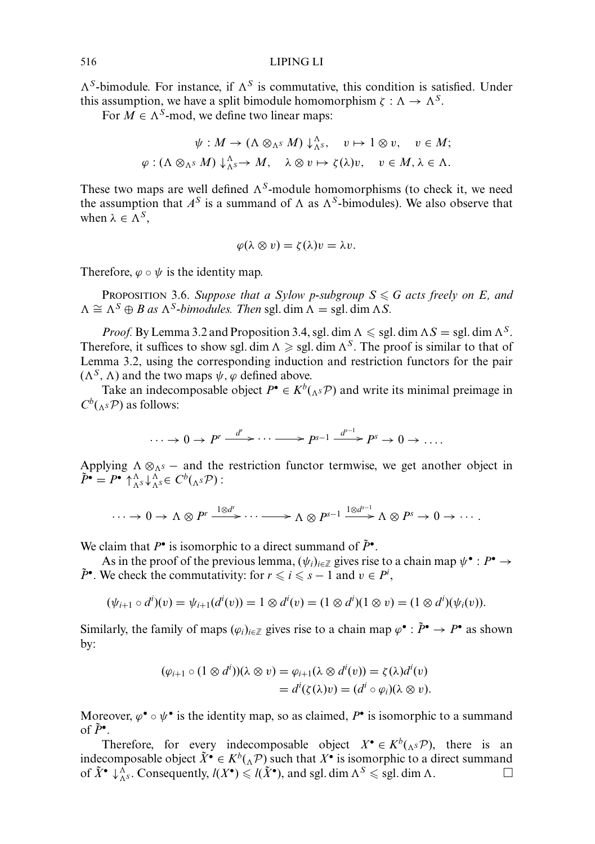### 516 LIPING LI

 $\Lambda^S$ -bimodule. For instance, if  $\Lambda^S$  is commutative, this condition is satisfied. Under this assumption, we have a split bimodule homomorphism  $\zeta : \Lambda \to \Lambda^S$ .

For  $M \in \Lambda^S$ -mod, we define two linear maps:

$$
\psi: M \to (\Lambda \otimes_{\Lambda^S} M) \downarrow_{\Lambda^S}^{\Lambda}, \quad v \mapsto 1 \otimes v, \quad v \in M;
$$
  

$$
\varphi: (\Lambda \otimes_{\Lambda^S} M) \downarrow_{\Lambda^S}^{\Lambda} \to M, \quad \lambda \otimes v \mapsto \zeta(\lambda)v, \quad v \in M, \lambda \in \Lambda.
$$

These two maps are well defined  $\Lambda<sup>S</sup>$ -module homomorphisms (to check it, we need the assumption that  $A^S$  is a summand of  $\Lambda$  as  $\Lambda^S$ -bimodules). We also observe that when  $\lambda \in \Lambda^S$ ,

$$
\varphi(\lambda \otimes v) = \zeta(\lambda)v = \lambda v.
$$

Therefore,  $\varphi \circ \psi$  is the identity map.

PROPOSITION 3.6. *Suppose that a Sylow p-subgroup S*  $\le$  *G acts freely on E, and*  $\Lambda \cong \Lambda^S \oplus B$  as  $\Lambda^S$ -bimodules. Then sgl. dim  $\Lambda =$  sgl. dim  $\Lambda S$ .

*Proof.* By Lemma 3.2 and Proposition 3.4, sgl. dim  $\Lambda \le$  sgl. dim  $\Lambda S =$  sgl. dim  $\Lambda^S$ . Therefore, it suffices to show sgl. dim  $\Lambda \geq$  sgl. dim  $\Lambda^S$ . The proof is similar to that of Lemma 3.2, using the corresponding induction and restriction functors for the pair  $(\Lambda^S, \Lambda)$  and the two maps  $\psi$ ,  $\varphi$  defined above.

Take an indecomposable object  $P^{\bullet} \in K^b({}_{\Lambda^S} \mathcal{P})$  and write its minimal preimage in  $C^b({}_{\Lambda}S\mathcal{P})$  as follows:

$$
\cdots \to 0 \to P^r \xrightarrow{d^r} \cdots \longrightarrow P^{s-1} \xrightarrow{d^{s-1}} P^s \to 0 \to \ldots
$$

Applying  $\Lambda \otimes_{\Lambda^S} -$  and the restriction functor termwise, we get another object in  $\tilde{P}$ <sup>*•*</sup> =  $P$ <sup>*•*</sup>  $\bigwedge_{\Lambda}^{A} s \downarrow_{\Lambda}^{A} s \in C^{b}({}_{\Lambda} s \mathcal{P})$ :

$$
\cdots \to 0 \to \Lambda \otimes P^r \xrightarrow{1 \otimes d^r} \cdots \longrightarrow \Lambda \otimes P^{s-1} \xrightarrow{1 \otimes d^{s-1}} \Lambda \otimes P^s \to 0 \to \cdots.
$$

We claim that  $P^{\bullet}$  is isomorphic to a direct summand of  $\tilde{P}^{\bullet}$ .

As in the proof of the previous lemma,  $(\psi_i)_{i \in \mathbb{Z}}$  gives rise to a chain map  $\psi^{\bullet} : P^{\bullet} \to$  $\tilde{P}^{\bullet}$ . We check the commutativity: for  $r \leqslant i \leqslant s - 1$  and  $v \in P^i$ ,

$$
(\psi_{i+1} \circ d^i)(v) = \psi_{i+1}(d^i(v)) = 1 \otimes d^i(v) = (1 \otimes d^i)(1 \otimes v) = (1 \otimes d^i)(\psi_i(v)).
$$

Similarly, the family of maps  $(\varphi_i)_{i \in \mathbb{Z}}$  gives rise to a chain map  $\varphi^{\bullet} : \tilde{P}^{\bullet} \to P^{\bullet}$  as shown by:

$$
(\varphi_{i+1} \circ (1 \otimes d^{i}))(\lambda \otimes v) = \varphi_{i+1}(\lambda \otimes d^{i}(v)) = \zeta(\lambda)d^{i}(v)
$$
  
=  $d^{i}(\zeta(\lambda)v) = (d^{i} \circ \varphi_{i})(\lambda \otimes v).$ 

Moreover,  $\varphi^{\bullet} \circ \psi^{\bullet}$  is the identity map, so as claimed,  $P^{\bullet}$  is isomorphic to a summand of  $\tilde{P}^{\bullet}$ .

Therefore, for every indecomposable object  $X^{\bullet} \in K^b(\Lambda^s \mathcal{P})$ , there is an indecomposable object  $\tilde{X}^{\bullet} \in K^b(\Lambda, \mathcal{P})$  such that  $X^{\bullet}$  is isomorphic to a direct summand of  $\tilde{X}^{\bullet} \downarrow_{\Lambda^S}^{\Lambda}$ . Consequently,  $l(X^{\bullet}) \leq l(\tilde{X}^{\bullet})$ , and sgl. dim  $\Lambda^S \leq$  sgl. dim  $\Lambda$ .